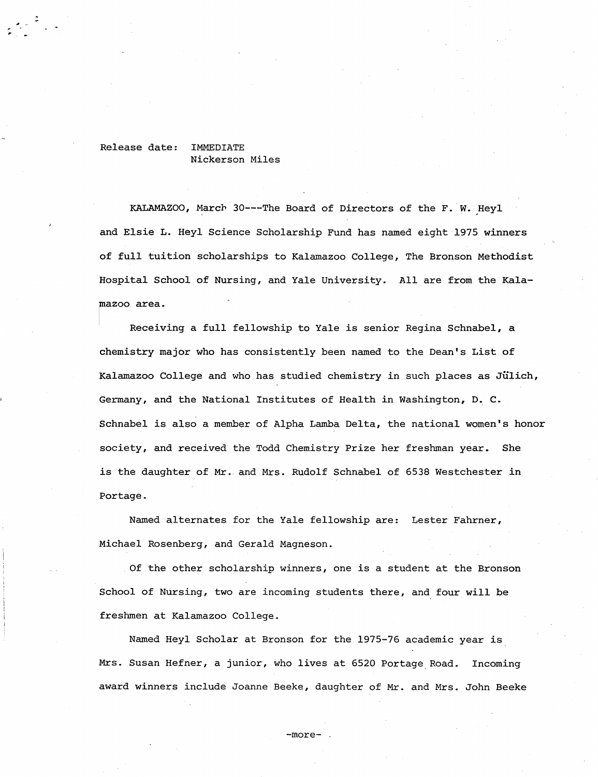## Release date: IMMEDIATE Nickerson Miles

KALAMAZOO, March 30---The Board of Directors of the F. W. Heyl and Elsie L. Heyl Science Scholarship Fund has named eight 1975 winners of full tuition scholarships to Kalamazoo College, The Bronson Methodist Hospital School of Nursing, and Yale University. All are from the Kalamazoo area.

Receiving a full fellowship to Yale *is* senior Regina Schnabel, a chemistry major who has consistently been named to the Dean's List of Kalamazoo College and who has studied chemistry in such places as Jülich, Germany, and the National Institutes of Health in Washington, D. C. Schnabel *is* also a member of Alpha Lamba Delta, the national women's honor society, and received the Todd Chemistry Prize her freshman year. She is the daughter of Mr. and Mrs. Rudolf Schnabel of 6538 Westchester in Portage.

Named alternates for the Yale fellowship are: Lester Fahrner, Michael Rosenberg, and Gerald Magneson.

Of the other scholarship winners, one is a student at the Bronson School of Nursing, two are incoming students there, and four will be freshmen at Kalamazoo College.

Named Heyl Scholar at Bronson for the 1975-76 academic year is Mrs. Susan Hefner, a junior, who lives at 6520 Portage Road. Incoming award winners include Joanne Beeke, daughter of Mr. and Mrs. John Beeke